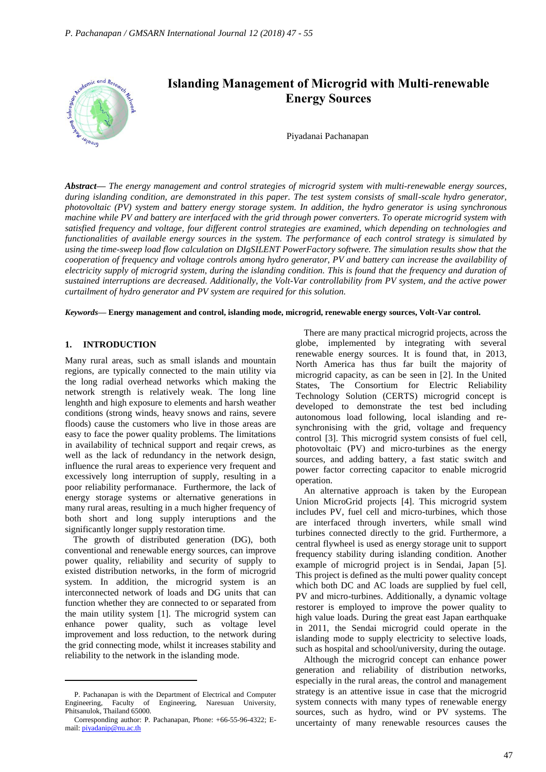

*Abstract***—** *The energy management and control strategies of microgrid system with multi-renewable energy sources, during islanding condition, are demonstrated in this paper. The test system consists of small-scale hydro generator, photovoltaic (PV) system and battery energy storage system. In addition, the hydro generator is using synchronous machine while PV and battery are interfaced with the grid through power converters. To operate microgrid system with satisfied frequency and voltage, four different control strategies are examined, which depending on technologies and functionalities of available energy sources in the system. The performance of each control strategy is simulated by using the time-sweep load flow calculation on DIgSILENT PowerFactory softwere. The simulation results show that the cooperation of frequency and voltage controls among hydro generator, PV and battery can increase the availability of electricity supply of microgrid system, during the islanding condition. This is found that the frequency and duration of sustained interruptions are decreased. Additionally, the Volt-Var controllability from PV system, and the active power curtailment of hydro generator and PV system are required for this solution.*

*Keywords***— Energy management and control, islanding mode, microgrid, renewable energy sources, Volt-Var control.**

# **1. INTRODUCTION**

Many rural areas, such as small islands and mountain regions, are typically connected to the main utility via the long radial overhead networks which making the network strength is relatively weak. The long line lenghth and high exposure to elements and harsh weather conditions (strong winds, heavy snows and rains, severe floods) cause the customers who live in those areas are easy to face the power quality problems. The limitations in availability of technical support and reqair crews, as well as the lack of redundancy in the network design, influence the rural areas to experience very frequent and excessively long interruption of supply, resulting in a poor reliability performanace. Furthermore, the lack of energy storage systems or alternative generations in many rural areas, resulting in a much higher frequency of both short and long supply interuptions and the significantly longer supply restoration time.

The growth of distributed generation (DG), both conventional and renewable energy sources, can improve power quality, reliability and security of supply to existed distribution networks, in the form of microgrid system. In addition, the microgrid system is an interconnected network of loads and DG units that can function whether they are connected to or separated from the main utility system [1]. The microgrid system can enhance power quality, such as voltage level improvement and loss reduction, to the network during the grid connecting mode, whilst it increases stability and reliability to the network in the islanding mode.

 $\overline{a}$ 

There are many practical microgrid projects, across the globe, implemented by integrating with several renewable energy sources. It is found that, in 2013, North America has thus far built the majority of microgrid capacity, as can be seen in [2]. In the United States, The Consortium for Electric Reliability Technology Solution (CERTS) microgrid concept is developed to demonstrate the test bed including autonomous load following, local islanding and resynchronising with the grid, voltage and frequency control [3]. This microgrid system consists of fuel cell, photovoltaic (PV) and micro-turbines as the energy sources, and adding battery, a fast static switch and power factor correcting capacitor to enable microgrid operation.

An alternative approach is taken by the European Union MicroGrid projects [4]. This microgrid system includes PV, fuel cell and micro-turbines, which those are interfaced through inverters, while small wind turbines connected directly to the grid. Furthermore, a central flywheel is used as energy storage unit to support frequency stability during islanding condition. Another example of microgrid project is in Sendai, Japan [5]. This project is defined as the multi power quality concept which both DC and AC loads are supplied by fuel cell, PV and micro-turbines. Additionally, a dynamic voltage restorer is employed to improve the power quality to high value loads. During the great east Japan earthquake in 2011, the Sendai microgrid could operate in the islanding mode to supply electricity to selective loads, such as hospital and school/university, during the outage.

Although the microgrid concept can enhance power generation and reliability of distribution networks, especially in the rural areas, the control and management strategy is an attentive issue in case that the microgrid system connects with many types of renewable energy sources, such as hydro, wind or PV systems. The uncertainty of many renewable resources causes the

P. Pachanapan is with the Department of Electrical and Computer Engineering, Faculty of Engineering, Naresuan University, Phitsanulok, Thailand 65000.

Corresponding author: P. Pachanapan, Phone: +66-55-96-4322; Email: [piyadanip@nu.ac.th](mailto:piyadanip@nu.ac.th)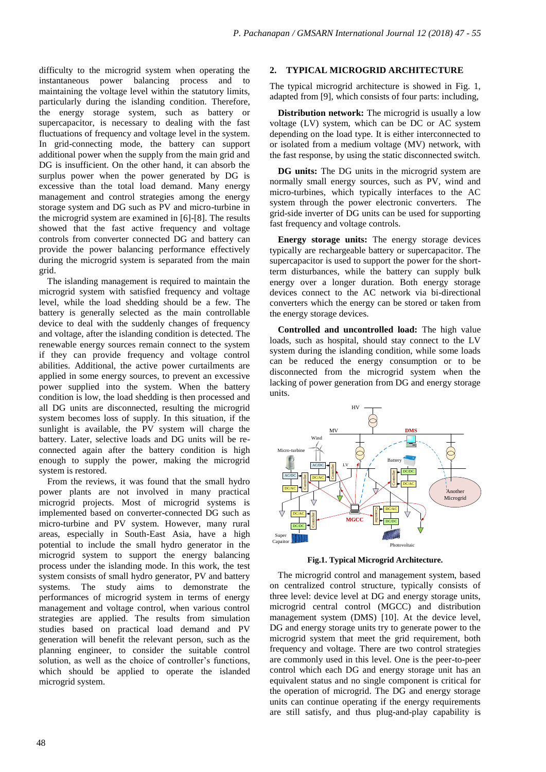difficulty to the microgrid system when operating the instantaneous power balancing process and to maintaining the voltage level within the statutory limits, particularly during the islanding condition. Therefore, the energy storage system, such as battery or supercapacitor, is necessary to dealing with the fast fluctuations of frequency and voltage level in the system. In grid-connecting mode, the battery can support additional power when the supply from the main grid and DG is insufficient. On the other hand, it can absorb the surplus power when the power generated by DG is excessive than the total load demand. Many energy management and control strategies among the energy storage system and DG such as PV and micro-turbine in the microgrid system are examined in [6]-[8]. The results showed that the fast active frequency and voltage controls from converter connected DG and battery can provide the power balancing performance effectively during the microgrid system is separated from the main grid.

The islanding management is required to maintain the microgrid system with satisfied frequency and voltage level, while the load shedding should be a few. The battery is generally selected as the main controllable device to deal with the suddenly changes of frequency and voltage, after the islanding condition is detected. The renewable energy sources remain connect to the system if they can provide frequency and voltage control abilities. Additional, the active power curtailments are applied in some energy sources, to prevent an excessive power supplied into the system. When the battery condition is low, the load shedding is then processed and all DG units are disconnected, resulting the microgrid system becomes loss of supply. In this situation, if the sunlight is available, the PV system will charge the battery. Later, selective loads and DG units will be reconnected again after the battery condition is high enough to supply the power, making the microgrid system is restored.

From the reviews, it was found that the small hydro power plants are not involved in many practical microgrid projects. Most of microgrid systems is implemented based on converter-connected DG such as micro-turbine and PV system. However, many rural areas, especially in South-East Asia, have a high potential to include the small hydro generator in the microgrid system to support the energy balancing process under the islanding mode. In this work, the test system consists of small hydro generator, PV and battery systems. The study aims to demonstrate the performances of microgrid system in terms of energy management and voltage control, when various control strategies are applied. The results from simulation studies based on practical load demand and PV generation will benefit the relevant person, such as the planning engineer, to consider the suitable control solution, as well as the choice of controller's functions, which should be applied to operate the islanded microgrid system.

## **2. TYPICAL MICROGRID ARCHITECTURE**

The typical microgrid architecture is showed in Fig. 1, adapted from [9], which consists of four parts: including,

**Distribution network:** The microgrid is usually a low voltage (LV) system, which can be DC or AC system depending on the load type. It is either interconnected to or isolated from a medium voltage (MV) network, with the fast response, by using the static disconnected switch.

**DG units:** The DG units in the microgrid system are normally small energy sources, such as PV, wind and micro-turbines, which typically interfaces to the AC system through the power electronic converters. The grid-side inverter of DG units can be used for supporting fast frequency and voltage controls.

**Energy storage units:** The energy storage devices typically are rechargeable battery or supercapacitor. The supercapacitor is used to support the power for the shortterm disturbances, while the battery can supply bulk energy over a longer duration. Both energy storage devices connect to the AC network via bi-directional converters which the energy can be stored or taken from the energy storage devices.

**Controlled and uncontrolled load:** The high value loads, such as hospital, should stay connect to the LV system during the islanding condition, while some loads can be reduced the energy consumption or to be disconnected from the microgrid system when the lacking of power generation from DG and energy storage units.



**Fig.1. Typical Microgrid Architecture.**

The microgrid control and management system, based on centralized control structure, typically consists of three level: device level at DG and energy storage units, microgrid central control (MGCC) and distribution management system (DMS) [10]. At the device level, DG and energy storage units try to generate power to the microgrid system that meet the grid requirement, both frequency and voltage. There are two control strategies are commonly used in this level. One is the peer-to-peer control which each DG and energy storage unit has an equivalent status and no single component is critical for the operation of microgrid. The DG and energy storage units can continue operating if the energy requirements are still satisfy, and thus plug-and-play capability is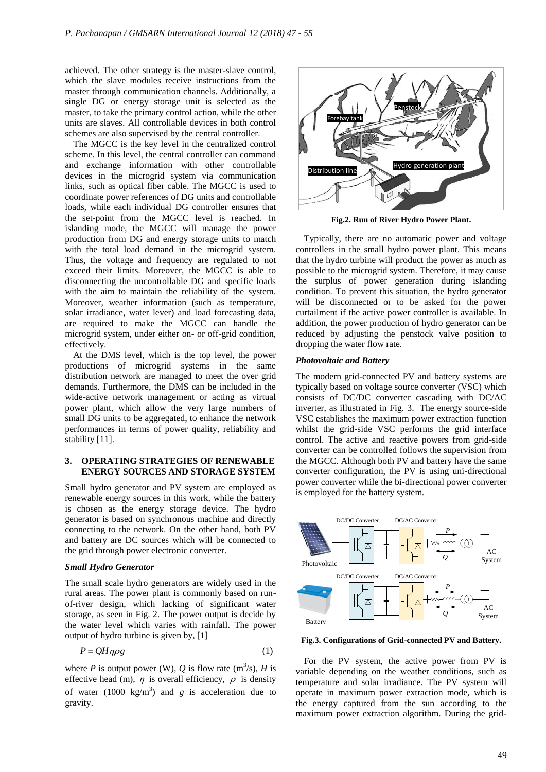achieved. The other strategy is the master-slave control, which the slave modules receive instructions from the master through communication channels. Additionally, a single DG or energy storage unit is selected as the master, to take the primary control action, while the other units are slaves. All controllable devices in both control schemes are also supervised by the central controller.

The MGCC is the key level in the centralized control scheme. In this level, the central controller can command and exchange information with other controllable devices in the microgrid system via communication links, such as optical fiber cable. The MGCC is used to coordinate power references of DG units and controllable loads, while each individual DG controller ensures that the set-point from the MGCC level is reached. In islanding mode, the MGCC will manage the power production from DG and energy storage units to match with the total load demand in the microgrid system. Thus, the voltage and frequency are regulated to not exceed their limits. Moreover, the MGCC is able to disconnecting the uncontrollable DG and specific loads with the aim to maintain the reliability of the system. Moreover, weather information (such as temperature, solar irradiance, water lever) and load forecasting data, are required to make the MGCC can handle the microgrid system, under either on- or off-grid condition, effectively.

At the DMS level, which is the top level, the power productions of microgrid systems in the same distribution network are managed to meet the over grid demands. Furthermore, the DMS can be included in the wide-active network management or acting as virtual power plant, which allow the very large numbers of small DG units to be aggregated, to enhance the network performances in terms of power quality, reliability and stability [11].

## **3. OPERATING STRATEGIES OF RENEWABLE ENERGY SOURCES AND STORAGE SYSTEM**

Small hydro generator and PV system are employed as renewable energy sources in this work, while the battery is chosen as the energy storage device. The hydro generator is based on synchronous machine and directly connecting to the network. On the other hand, both PV and battery are DC sources which will be connected to the grid through power electronic converter.

## *Small Hydro Generator*

The small scale hydro generators are widely used in the rural areas. The power plant is commonly based on runof-river design, which lacking of significant water storage, as seen in Fig. 2. The power output is decide by the water level which varies with rainfall. The power output of hydro turbine is given by, [1]

$$
P = QH\eta\rho g\tag{1}
$$

where *P* is output power (W), *Q* is flow rate  $(m^3/s)$ , *H* is effective head (m),  $\eta$  is overall efficiency,  $\rho$  is density of water  $(1000 \text{ kg/m}^3)$  and *g* is acceleration due to gravity.



**Fig.2. Run of River Hydro Power Plant.**

Typically, there are no automatic power and voltage controllers in the small hydro power plant. This means that the hydro turbine will product the power as much as possible to the microgrid system. Therefore, it may cause the surplus of power generation during islanding condition. To prevent this situation, the hydro generator will be disconnected or to be asked for the power curtailment if the active power controller is available. In addition, the power production of hydro generator can be reduced by adjusting the penstock valve position to dropping the water flow rate.

#### *Photovoltaic and Battery*

The modern grid-connected PV and battery systems are typically based on voltage source converter (VSC) which consists of DC/DC converter cascading with DC/AC inverter, as illustrated in Fig. 3. The energy source-side VSC establishes the maximum power extraction function whilst the grid-side VSC performs the grid interface control. The active and reactive powers from grid-side converter can be controlled follows the supervision from the MGCC. Although both PV and battery have the same converter configuration, the PV is using uni-directional power converter while the bi-directional power converter is employed for the battery system.



**Fig.3. Configurations of Grid-connected PV and Battery.**

For the PV system, the active power from PV is variable depending on the weather conditions, such as temperature and solar irradiance. The PV system will operate in maximum power extraction mode, which is the energy captured from the sun according to the maximum power extraction algorithm. During the grid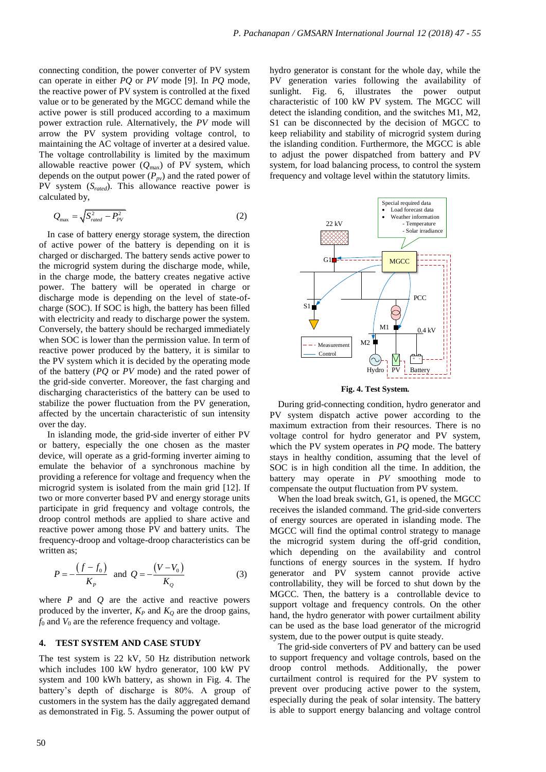connecting condition, the power converter of PV system can operate in either *PQ* or *PV* mode [9]. In *PQ* mode, the reactive power of PV system is controlled at the fixed value or to be generated by the MGCC demand while the active power is still produced according to a maximum power extraction rule. Alternatively, the *PV* mode will arrow the PV system providing voltage control, to maintaining the AC voltage of inverter at a desired value. The voltage controllability is limited by the maximum allowable reactive power  $(Q_{\text{max}})$  of PV system, which depends on the output power (*Ppv*) and the rated power of PV system (*Srated*). This allowance reactive power is calculated by,

$$
Q_{\text{max}} = \sqrt{S_{\text{rad}}^2 - P_{\text{PV}}^2} \tag{2}
$$

In case of battery energy storage system, the direction of active power of the battery is depending on it is charged or discharged. The battery sends active power to the microgrid system during the discharge mode, while, in the charge mode, the battery creates negative active power. The battery will be operated in charge or discharge mode is depending on the level of state-ofcharge (SOC). If SOC is high, the battery has been filled with electricity and ready to discharge power the system. Conversely, the battery should be recharged immediately when SOC is lower than the permission value. In term of reactive power produced by the battery, it is similar to the PV system which it is decided by the operating mode of the battery (*PQ* or *PV* mode) and the rated power of the grid-side converter. Moreover, the fast charging and discharging characteristics of the battery can be used to stabilize the power fluctuation from the PV generation, affected by the uncertain characteristic of sun intensity over the day.

In islanding mode, the grid-side inverter of either PV or battery, especially the one chosen as the master device, will operate as a grid-forming inverter aiming to emulate the behavior of a synchronous machine by providing a reference for voltage and frequency when the microgrid system is isolated from the main grid [12]. If two or more converter based PV and energy storage units participate in grid frequency and voltage controls, the droop control methods are applied to share active and reactive power among those PV and battery units. The frequency-droop and voltage-droop characteristics can be written as:

$$
P = -\frac{(f - f_0)}{K_P} \text{ and } Q = -\frac{(V - V_0)}{K_Q} \tag{3}
$$

where  $P$  and  $Q$  are the active and reactive powers produced by the inverter,  $K_P$  and  $K_Q$  are the droop gains,  $f_0$  and  $V_0$  are the reference frequency and voltage.

#### **4. TEST SYSTEM AND CASE STUDY**

The test system is 22 kV, 50 Hz distribution network which includes 100 kW hydro generator, 100 kW PV system and 100 kWh battery, as shown in Fig. 4. The battery's depth of discharge is 80%. A group of customers in the system has the daily aggregated demand as demonstrated in Fig. 5. Assuming the power output of hydro generator is constant for the whole day, while the PV generation varies following the availability of sunlight. Fig. 6, illustrates the power output characteristic of 100 kW PV system. The MGCC will detect the islanding condition, and the switches M1, M2, S1 can be disconnected by the decision of MGCC to keep reliability and stability of microgrid system during the islanding condition. Furthermore, the MGCC is able to adjust the power dispatched from battery and PV system, for load balancing process, to control the system frequency and voltage level within the statutory limits.



**Fig. 4. Test System.**

During grid-connecting condition, hydro generator and PV system dispatch active power according to the maximum extraction from their resources. There is no voltage control for hydro generator and PV system, which the PV system operates in *PQ* mode. The battery stays in healthy condition, assuming that the level of SOC is in high condition all the time. In addition, the battery may operate in *PV* smoothing mode to compensate the output fluctuation from PV system.

When the load break switch, G1, is opened, the MGCC receives the islanded command. The grid-side converters of energy sources are operated in islanding mode. The MGCC will find the optimal control strategy to manage the microgrid system during the off-grid condition, which depending on the availability and control functions of energy sources in the system. If hydro generator and PV system cannot provide active controllability, they will be forced to shut down by the MGCC. Then, the battery is a controllable device to support voltage and frequency controls. On the other hand, the hydro generator with power curtailment ability can be used as the base load generator of the microgrid system, due to the power output is quite steady.

The grid-side converters of PV and battery can be used to support frequency and voltage controls, based on the droop control methods. Additionally, the power curtailment control is required for the PV system to prevent over producing active power to the system, especially during the peak of solar intensity. The battery is able to support energy balancing and voltage control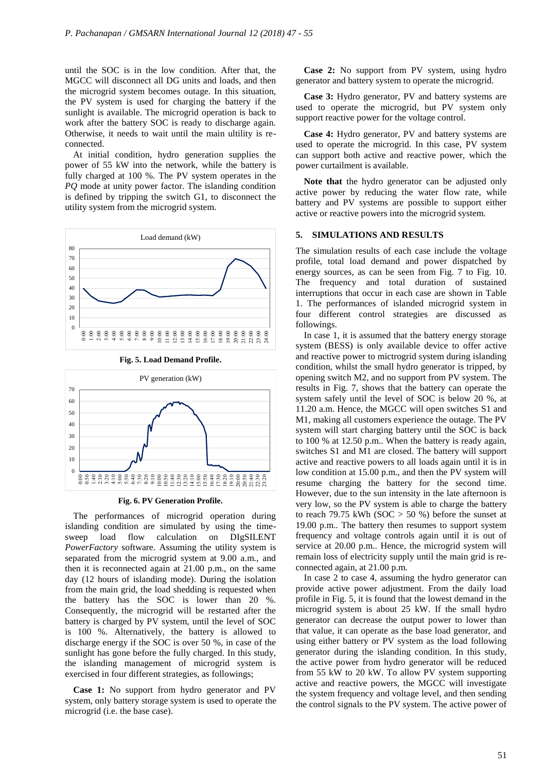until the SOC is in the low condition. After that, the MGCC will disconnect all DG units and loads, and then the microgrid system becomes outage. In this situation, the PV system is used for charging the battery if the sunlight is available. The microgrid operation is back to work after the battery SOC is ready to discharge again. Otherwise, it needs to wait until the main ultility is reconnected.

At initial condition, hydro generation supplies the power of 55 kW into the network, while the battery is fully charged at 100 %. The PV system operates in the *PQ* mode at unity power factor. The islanding condition is defined by tripping the switch G1, to disconnect the utility system from the microgrid system.





**Fig. 5. Load Demand Profile.**



The performances of microgrid operation during islanding condition are simulated by using the timesweep load flow calculation on DIgSILENT *PowerFactory* software. Assuming the utility system is separated from the microgrid system at 9.00 a.m., and then it is reconnected again at 21.00 p.m., on the same day (12 hours of islanding mode). During the isolation from the main grid, the load shedding is requested when the battery has the SOC is lower than 20 %. Consequently, the microgrid will be restarted after the battery is charged by PV system, until the level of SOC is 100 %. Alternatively, the battery is allowed to discharge energy if the SOC is over 50 %, in case of the sunlight has gone before the fully charged. In this study, the islanding management of microgrid system is exercised in four different strategies, as followings;

**Case 1:** No support from hydro generator and PV system, only battery storage system is used to operate the microgrid (i.e. the base case).

**Case 2:** No support from PV system, using hydro generator and battery system to operate the microgrid.

**Case 3:** Hydro generator, PV and battery systems are used to operate the microgrid, but PV system only support reactive power for the voltage control.

**Case 4:** Hydro generator, PV and battery systems are used to operate the microgrid. In this case, PV system can support both active and reactive power, which the power curtailment is available.

**Note that** the hydro generator can be adjusted only active power by reducing the water flow rate, while battery and PV systems are possible to support either active or reactive powers into the microgrid system.

## **5. SIMULATIONS AND RESULTS**

The simulation results of each case include the voltage profile, total load demand and power dispatched by energy sources, as can be seen from Fig. 7 to Fig. 10. The frequency and total duration of sustained interruptions that occur in each case are shown in Table 1. The performances of islanded microgrid system in four different control strategies are discussed as followings.

In case 1, it is assumed that the battery energy storage system (BESS) is only available device to offer active and reactive power to mictrogrid system during islanding condition, whilst the small hydro generator is tripped, by opening switch M2, and no support from PV system. The results in Fig. 7, shows that the battery can operate the system safely until the level of SOC is below 20 %, at 11.20 a.m. Hence, the MGCC will open switches S1 and M1, making all customers experience the outage. The PV system will start charging battery until the SOC is back to 100 % at 12.50 p.m.. When the battery is ready again, switches S1 and M1 are closed. The battery will support active and reactive powers to all loads again until it is in low condition at 15.00 p.m., and then the PV system will resume charging the battery for the second time. However, due to the sun intensity in the late afternoon is very low, so the PV system is able to charge the battery to reach 79.75 kWh (SOC  $>$  50 %) before the sunset at 19.00 p.m.. The battery then resumes to support system frequency and voltage controls again until it is out of service at 20.00 p.m.. Hence, the microgrid system will remain loss of electricity supply until the main grid is reconnected again, at 21.00 p.m.

In case 2 to case 4, assuming the hydro generator can provide active power adjustment. From the daily load profile in Fig. 5, it is found that the lowest demand in the microgrid system is about 25 kW. If the small hydro generator can decrease the output power to lower than that value, it can operate as the base load generator, and using either battery or PV system as the load following generator during the islanding condition. In this study, the active power from hydro generator will be reduced from 55 kW to 20 kW. To allow PV system supporting active and reactive powers, the MGCC will investigate the system frequency and voltage level, and then sending the control signals to the PV system. The active power of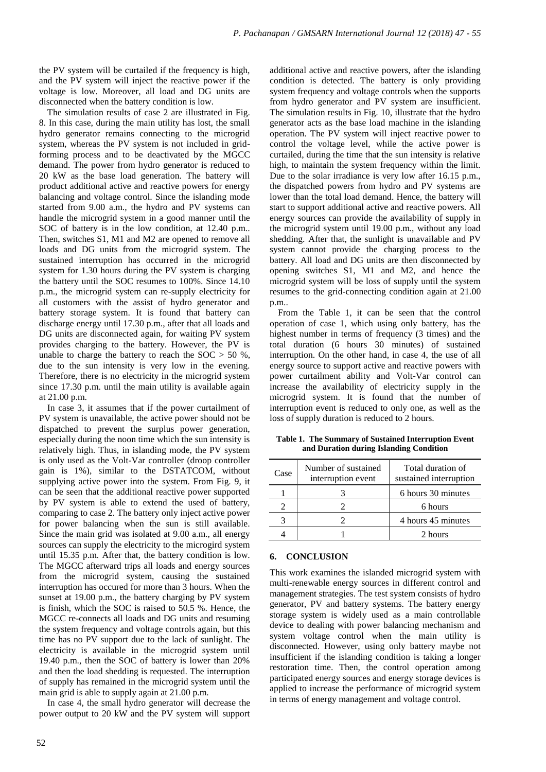the PV system will be curtailed if the frequency is high, and the PV system will inject the reactive power if the voltage is low. Moreover, all load and DG units are disconnected when the battery condition is low.

The simulation results of case 2 are illustrated in Fig. 8. In this case, during the main utility has lost, the small hydro generator remains connecting to the microgrid system, whereas the PV system is not included in gridforming process and to be deactivated by the MGCC demand. The power from hydro generator is reduced to 20 kW as the base load generation. The battery will product additional active and reactive powers for energy balancing and voltage control. Since the islanding mode started from 9.00 a.m., the hydro and PV systems can handle the microgrid system in a good manner until the SOC of battery is in the low condition, at 12.40 p.m.. Then, switches S1, M1 and M2 are opened to remove all loads and DG units from the microgrid system. The sustained interruption has occurred in the microgrid system for 1.30 hours during the PV system is charging the battery until the SOC resumes to 100%. Since 14.10 p.m., the microgrid system can re-supply electricity for all customers with the assist of hydro generator and battery storage system. It is found that battery can discharge energy until 17.30 p.m., after that all loads and DG units are disconnected again, for waiting PV system provides charging to the battery. However, the PV is unable to charge the battery to reach the  $SOC > 50 \%$ , due to the sun intensity is very low in the evening. Therefore, there is no electricity in the microgrid system since 17.30 p.m. until the main utility is available again at 21.00 p.m.

In case 3, it assumes that if the power curtailment of PV system is unavailable, the active power should not be dispatched to prevent the surplus power generation, especially during the noon time which the sun intensity is relatively high. Thus, in islanding mode, the PV system is only used as the Volt-Var controller (droop controller gain is 1%), similar to the DSTATCOM, without supplying active power into the system. From Fig. 9, it can be seen that the additional reactive power supported by PV system is able to extend the used of battery, comparing to case 2. The battery only inject active power for power balancing when the sun is still available. Since the main grid was isolated at 9.00 a.m., all energy sources can supply the electricity to the microgird system until 15.35 p.m. After that, the battery condition is low. The MGCC afterward trips all loads and energy sources from the microgrid system, causing the sustained interruption has occured for more than 3 hours. When the sunset at 19.00 p.m., the battery charging by PV system is finish, which the SOC is raised to 50.5 %. Hence, the MGCC re-connects all loads and DG units and resuming the system frequency and voltage controls again, but this time has no PV support due to the lack of sunlight. The electricity is available in the microgrid system until 19.40 p.m., then the SOC of battery is lower than 20% and then the load shedding is requested. The interruption of supply has remained in the microgrid system until the main grid is able to supply again at 21.00 p.m.

In case 4, the small hydro generator will decrease the power output to 20 kW and the PV system will support additional active and reactive powers, after the islanding condition is detected. The battery is only providing system frequency and voltage controls when the supports from hydro generator and PV system are insufficient. The simulation results in Fig. 10, illustrate that the hydro generator acts as the base load machine in the islanding operation. The PV system will inject reactive power to control the voltage level, while the active power is curtailed, during the time that the sun intensity is relative high, to maintain the system frequency within the limit. Due to the solar irradiance is very low after 16.15 p.m., the dispatched powers from hydro and PV systems are lower than the total load demand. Hence, the battery will start to support additional active and reactive powers. All energy sources can provide the availability of supply in the microgrid system until 19.00 p.m., without any load shedding. After that, the sunlight is unavailable and PV system cannot provide the charging process to the battery. All load and DG units are then disconnected by opening switches S1, M1 and M2, and hence the microgrid system will be loss of supply until the system resumes to the grid-connecting condition again at 21.00 p.m..

From the Table 1, it can be seen that the control operation of case 1, which using only battery, has the highest number in terms of frequency (3 times) and the total duration (6 hours 30 minutes) of sustained interruption. On the other hand, in case 4, the use of all energy source to support active and reactive powers with power curtailment ability and Volt-Var control can increase the availability of electricity supply in the microgrid system. It is found that the number of interruption event is reduced to only one, as well as the loss of supply duration is reduced to 2 hours.

| Case | Number of sustained<br>interruption event | Total duration of<br>sustained interruption |
|------|-------------------------------------------|---------------------------------------------|
|      |                                           | 6 hours 30 minutes                          |
|      |                                           | 6 hours                                     |
|      |                                           | 4 hours 45 minutes                          |
|      |                                           | 2 hours                                     |

**Table 1. The Summary of Sustained Interruption Event and Duration during Islanding Condition**

### **6. CONCLUSION**

This work examines the islanded microgrid system with multi-renewable energy sources in different control and management strategies. The test system consists of hydro generator, PV and battery systems. The battery energy storage system is widely used as a main controllable device to dealing with power balancing mechanism and system voltage control when the main utility is disconnected. However, using only battery maybe not insufficient if the islanding condition is taking a longer restoration time. Then, the control operation among participated energy sources and energy storage devices is applied to increase the performance of microgrid system in terms of energy management and voltage control.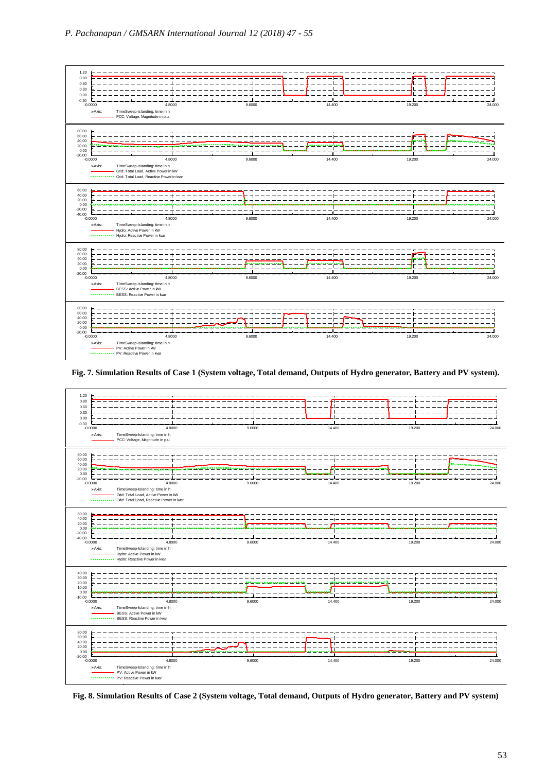

**Fig. 7. Simulation Results of Case 1 (System voltage, Total demand, Outputs of Hydro generator, Battery and PV system).** Annex: /4



**Fig. 8. Simulation Results of Case 2 (System voltage, Total demand, Outputs of Hydro generator, Battery and PV system)** Annex: /4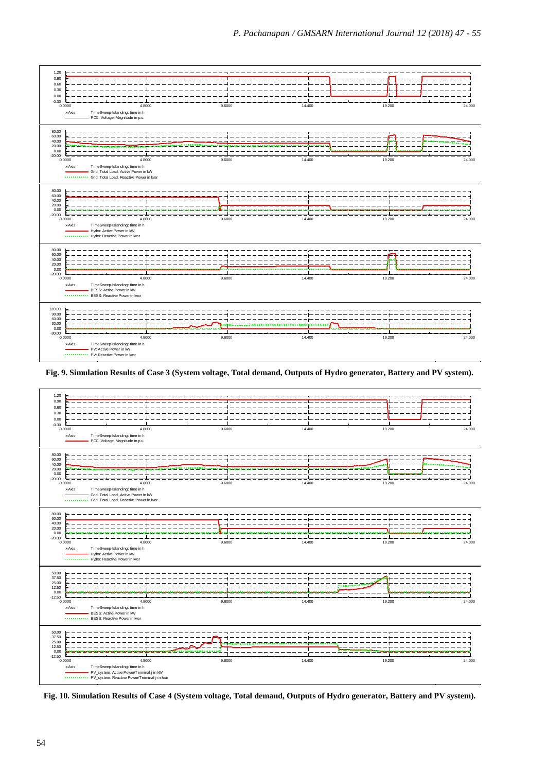

**Fig. 9. Simulation Results of Case 3 (System voltage, Total demand, Outputs of Hydro generator, Battery and PV system).** 



**Fig. 10. Simulation Results of Case 4 (System voltage, Total demand, Outputs of Hydro generator, Battery and PV system).**